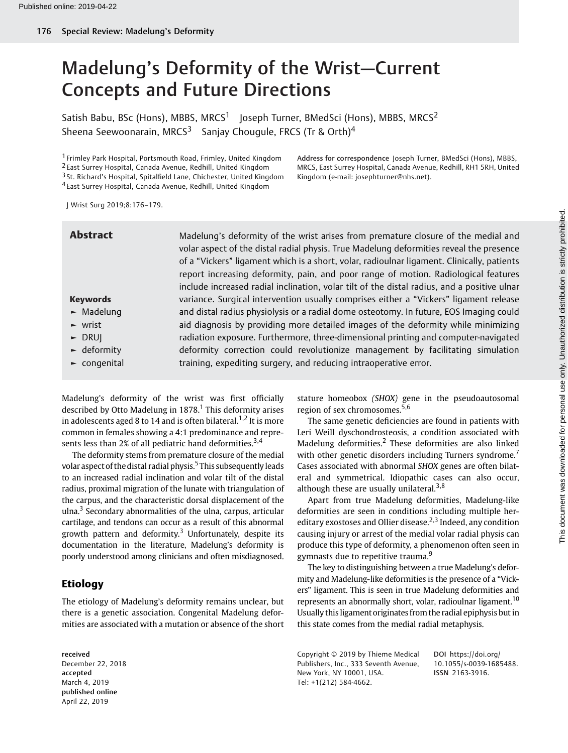# Madelung's Deformity of the Wrist—Current Concepts and Future Directions

Satish Babu, BSc (Hons), MBBS, MRCS<sup>1</sup> Joseph Turner, BMedSci (Hons), MBBS, MRCS<sup>2</sup> Sheena Seewoonarain, MRCS<sup>3</sup> Sanjay Chougule, FRCS (Tr & Orth)<sup>4</sup>

 Frimley Park Hospital, Portsmouth Road, Frimley, United Kingdom East Surrey Hospital, Canada Avenue, Redhill, United Kingdom St. Richard's Hospital, Spitalfield Lane, Chichester, United Kingdom East Surrey Hospital, Canada Avenue, Redhill, United Kingdom

Address for correspondence Joseph Turner, BMedSci (Hons), MBBS, MRCS, East Surrey Hospital, Canada Avenue, Redhill, RH1 5RH, United Kingdom (e-mail: [josephturner@nhs.net\)](mailto:josephturner@nhs.net).

J Wrist Surg 2019;8:176–179.

| <b>Abstract</b>                  | Madelung's deformity of the wrist arises from premature closure of the medial and<br>volar aspect of the distal radial physis. True Madelung deformities reveal the presence<br>of a "Vickers" ligament which is a short, volar, radioulnar ligament. Clinically, patients<br>report increasing deformity, pain, and poor range of motion. Radiological features<br>include increased radial inclination, volar tilt of the distal radius, and a positive ulnar |
|----------------------------------|-----------------------------------------------------------------------------------------------------------------------------------------------------------------------------------------------------------------------------------------------------------------------------------------------------------------------------------------------------------------------------------------------------------------------------------------------------------------|
| <b>Keywords</b>                  | variance. Surgical intervention usually comprises either a "Vickers" ligament release                                                                                                                                                                                                                                                                                                                                                                           |
| $\blacktriangleright$ Madelung   | and distal radius physiolysis or a radial dome osteotomy. In future, EOS Imaging could                                                                                                                                                                                                                                                                                                                                                                          |
| $\sim$ wrist                     | aid diagnosis by providing more detailed images of the deformity while minimizing                                                                                                                                                                                                                                                                                                                                                                               |
| $\triangleright$ DRUJ            | radiation exposure. Furthermore, three-dimensional printing and computer-navigated                                                                                                                                                                                                                                                                                                                                                                              |
| $\blacktriangleright$ deformity  | deformity correction could revolutionize management by facilitating simulation                                                                                                                                                                                                                                                                                                                                                                                  |
| $\blacktriangleright$ congenital | training, expediting surgery, and reducing intraoperative error.                                                                                                                                                                                                                                                                                                                                                                                                |

Madelung's deformity of the wrist was first officially described by Otto Madelung in  $1878$ .<sup>1</sup> This deformity arises in adolescents aged 8 to 14 and is often bilateral.<sup>1,2</sup> It is more common in females showing a 4:1 predominance and represents less than 2% of all pediatric hand deformities.<sup>3,4</sup>

The deformity stems from premature closure of the medial volar aspect of the distal radial physis.<sup>5</sup> This subsequently leads to an increased radial inclination and volar tilt of the distal radius, proximal migration of the lunate with triangulation of the carpus, and the characteristic dorsal displacement of the ulna.<sup>3</sup> Secondary abnormalities of the ulna, carpus, articular cartilage, and tendons can occur as a result of this abnormal growth pattern and deformity.<sup>3</sup> Unfortunately, despite its documentation in the literature, Madelung's deformity is poorly understood among clinicians and often misdiagnosed.

# Etiology

The etiology of Madelung's deformity remains unclear, but there is a genetic association. Congenital Madelung deformities are associated with a mutation or absence of the short

received December 22, 2018 accepted March 4, 2019 published online April 22, 2019

stature homeobox (SHOX) gene in the pseudoautosomal region of sex chromosomes.5,6

The same genetic deficiencies are found in patients with Leri Weill dyschondrosteosis, a condition associated with Madelung deformities.<sup>2</sup> These deformities are also linked with other genetic disorders including Turners syndrome.<sup>7</sup> Cases associated with abnormal SHOX genes are often bilateral and symmetrical. Idiopathic cases can also occur, although these are usually unilateral.<sup>3,8</sup>

Apart from true Madelung deformities, Madelung-like deformities are seen in conditions including multiple hereditary exostoses and Ollier disease.<sup>2,3</sup> Indeed, any condition causing injury or arrest of the medial volar radial physis can produce this type of deformity, a phenomenon often seen in gymnasts due to repetitive trauma.<sup>9</sup>

The key to distinguishing between a true Madelung's deformity and Madelung-like deformities is the presence of a "Vickers" ligament. This is seen in true Madelung deformities and represents an abnormally short, volar, radioulnar ligament.<sup>10</sup> Usually thisligament originates from the radial epiphysis but in this state comes from the medial radial metaphysis.

Copyright © 2019 by Thieme Medical Publishers, Inc., 333 Seventh Avenue, New York, NY 10001, USA. Tel: +1(212) 584-4662.

DOI [https://doi.org/](https://doi.org/10.1055/s-0039-1685488) [10.1055/s-0039-1685488](https://doi.org/10.1055/s-0039-1685488). ISSN 2163-3916.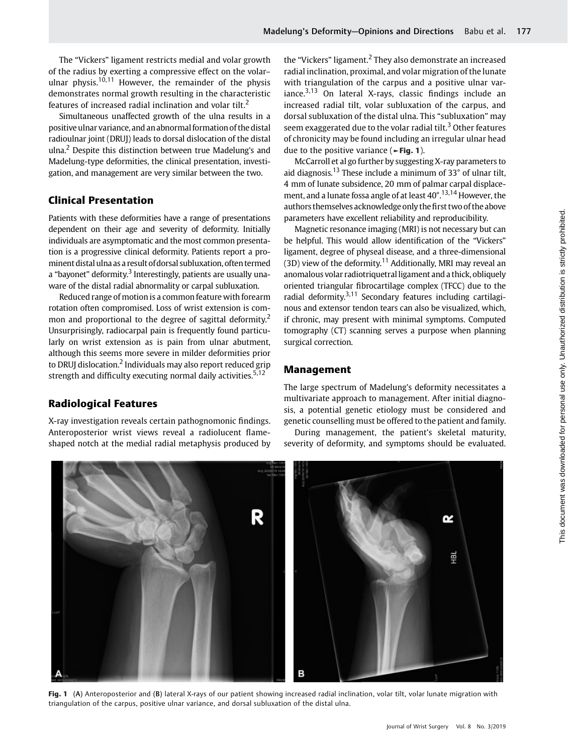The "Vickers" ligament restricts medial and volar growth of the radius by exerting a compressive effect on the volar– ulnar physis.<sup>10,11</sup> However, the remainder of the physis demonstrates normal growth resulting in the characteristic features of increased radial inclination and volar tilt.<sup>2</sup>

Simultaneous unaffected growth of the ulna results in a positive ulnar variance, and an abnormal formation of the distal radioulnar joint (DRUJ) leads to dorsal dislocation of the distal ulna.<sup>2</sup> Despite this distinction between true Madelung's and Madelung-type deformities, the clinical presentation, investigation, and management are very similar between the two.

# Clinical Presentation

Patients with these deformities have a range of presentations dependent on their age and severity of deformity. Initially individuals are asymptomatic and the most common presentation is a progressive clinical deformity. Patients report a prominent distal ulna as a result ofdorsal subluxation, often termed a "bayonet" deformity.<sup>3</sup> Interestingly, patients are usually unaware of the distal radial abnormality or carpal subluxation.

Reduced range of motion is a common feature with forearm rotation often compromised. Loss of wrist extension is common and proportional to the degree of sagittal deformity.<sup>2</sup> Unsurprisingly, radiocarpal pain is frequently found particularly on wrist extension as is pain from ulnar abutment, although this seems more severe in milder deformities prior to DRUJ dislocation.<sup>2</sup> Individuals may also report reduced grip strength and difficulty executing normal daily activities.<sup>5,12</sup>

# Radiological Features

X-ray investigation reveals certain pathognomonic findings. Anteroposterior wrist views reveal a radiolucent flameshaped notch at the medial radial metaphysis produced by the "Vickers" ligament. $<sup>2</sup>$  They also demonstrate an increased</sup> radial inclination, proximal, and volar migration of the lunate with triangulation of the carpus and a positive ulnar variance. $3,13$  On lateral X-rays, classic findings include an increased radial tilt, volar subluxation of the carpus, and dorsal subluxation of the distal ulna. This "subluxation" may seem exaggerated due to the volar radial tilt.<sup>3</sup> Other features of chronicity may be found including an irregular ulnar head due to the positive variance ( $\blacktriangleright$ Fig. 1).

McCarroll et al go further by suggesting X-ray parameters to aid diagnosis.<sup>13</sup> These include a minimum of 33° of ulnar tilt, 4 mm of lunate subsidence, 20 mm of palmar carpal displacement, and a lunate fossa angle of at least 40°.13,14 However, the authors themselves acknowledge only the first two of the above parameters have excellent reliability and reproducibility.

Magnetic resonance imaging (MRI) is not necessary but can be helpful. This would allow identification of the "Vickers" ligament, degree of physeal disease, and a three-dimensional  $(3D)$  view of the deformity.<sup>11</sup> Additionally, MRI may reveal an anomalous volar radiotriquetralligament and a thick, obliquely oriented triangular fibrocartilage complex (TFCC) due to the radial deformity. $3,11$  Secondary features including cartilaginous and extensor tendon tears can also be visualized, which, if chronic, may present with minimal symptoms. Computed tomography (CT) scanning serves a purpose when planning surgical correction.

### Management

The large spectrum of Madelung's deformity necessitates a multivariate approach to management. After initial diagnosis, a potential genetic etiology must be considered and genetic counselling must be offered to the patient and family.

During management, the patient's skeletal maturity, severity of deformity, and symptoms should be evaluated.



Fig. 1 (A) Anteroposterior and (B) lateral X-rays of our patient showing increased radial inclination, volar tilt, volar lunate migration with triangulation of the carpus, positive ulnar variance, and dorsal subluxation of the distal ulna.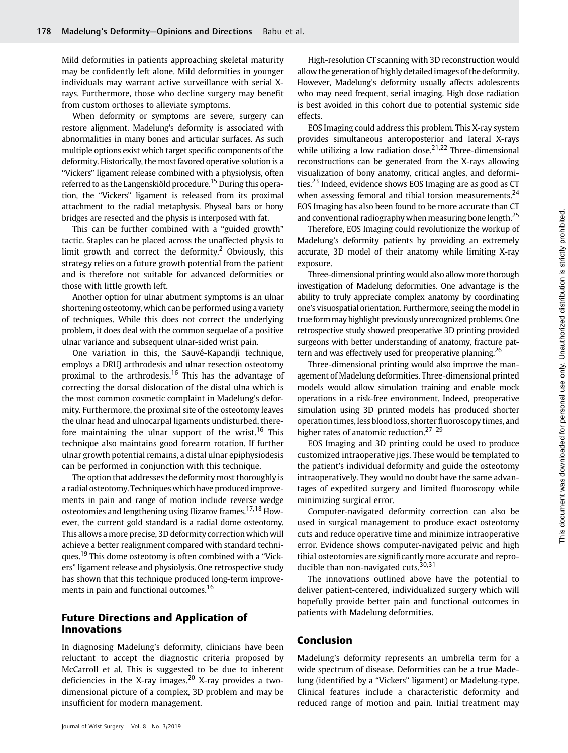Mild deformities in patients approaching skeletal maturity may be confidently left alone. Mild deformities in younger individuals may warrant active surveillance with serial Xrays. Furthermore, those who decline surgery may benefit from custom orthoses to alleviate symptoms.

When deformity or symptoms are severe, surgery can restore alignment. Madelung's deformity is associated with abnormalities in many bones and articular surfaces. As such multiple options exist which target specific components of the deformity. Historically, the most favored operative solution is a "Vickers" ligament release combined with a physiolysis, often referred to as the Langenskiöld procedure.<sup>15</sup> During this operation, the "Vickers" ligament is released from its proximal attachment to the radial metaphysis. Physeal bars or bony bridges are resected and the physis is interposed with fat.

This can be further combined with a "guided growth" tactic. Staples can be placed across the unaffected physis to limit growth and correct the deformity.<sup>2</sup> Obviously, this strategy relies on a future growth potential from the patient and is therefore not suitable for advanced deformities or those with little growth left.

Another option for ulnar abutment symptoms is an ulnar shortening osteotomy, which can be performed using a variety of techniques. While this does not correct the underlying problem, it does deal with the common sequelae of a positive ulnar variance and subsequent ulnar-sided wrist pain.

One variation in this, the Sauvé-Kapandji technique, employs a DRUJ arthrodesis and ulnar resection osteotomy proximal to the arthrodesis.<sup>16</sup> This has the advantage of correcting the dorsal dislocation of the distal ulna which is the most common cosmetic complaint in Madelung's deformity. Furthermore, the proximal site of the osteotomy leaves the ulnar head and ulnocarpal ligaments undisturbed, therefore maintaining the ulnar support of the wrist.<sup>16</sup> This technique also maintains good forearm rotation. If further ulnar growth potential remains, a distal ulnar epiphysiodesis can be performed in conjunction with this technique.

The option that addresses the deformity most thoroughly is a radial osteotomy. Techniques which have producedimprovements in pain and range of motion include reverse wedge osteotomies and lengthening using Ilizarov frames.<sup>17,18</sup> However, the current gold standard is a radial dome osteotomy. This allows a more precise, 3D deformity correction which will achieve a better realignment compared with standard techniques.<sup>19</sup> This dome osteotomy is often combined with a "Vickers" ligament release and physiolysis. One retrospective study has shown that this technique produced long-term improvements in pain and functional outcomes.<sup>16</sup>

### Future Directions and Application of Innovations

In diagnosing Madelung's deformity, clinicians have been reluctant to accept the diagnostic criteria proposed by McCarroll et al. This is suggested to be due to inherent deficiencies in the X-ray images.<sup>20</sup> X-ray provides a twodimensional picture of a complex, 3D problem and may be insufficient for modern management.

High-resolution CT scanning with 3D reconstruction would allow the generation of highly detailedimages of the deformity. However, Madelung's deformity usually affects adolescents who may need frequent, serial imaging. High dose radiation is best avoided in this cohort due to potential systemic side effects.

EOS Imaging could address this problem. This X-ray system provides simultaneous anteroposterior and lateral X-rays while utilizing a low radiation dose.<sup>21,22</sup> Three-dimensional reconstructions can be generated from the X-rays allowing visualization of bony anatomy, critical angles, and deformities.<sup>23</sup> Indeed, evidence shows EOS Imaging are as good as CT when assessing femoral and tibial torsion measurements.<sup>24</sup> EOS Imaging has also been found to be more accurate than CT and conventional radiography when measuring bone length.<sup>25</sup>

Therefore, EOS Imaging could revolutionize the workup of Madelung's deformity patients by providing an extremely accurate, 3D model of their anatomy while limiting X-ray exposure.

Three-dimensional printing would also allow more thorough investigation of Madelung deformities. One advantage is the ability to truly appreciate complex anatomy by coordinating one's visuospatial orientation. Furthermore, seeing the model in true formmay highlight previously unrecognized problems. One retrospective study showed preoperative 3D printing provided surgeons with better understanding of anatomy, fracture pattern and was effectively used for preoperative planning.<sup>26</sup>

Three-dimensional printing would also improve the management of Madelung deformities. Three-dimensional printed models would allow simulation training and enable mock operations in a risk-free environment. Indeed, preoperative simulation using 3D printed models has produced shorter operation times, less blood loss, shorter fluoroscopy times, and higher rates of anatomic reduction.<sup>27-29</sup>

EOS Imaging and 3D printing could be used to produce customized intraoperative jigs. These would be templated to the patient's individual deformity and guide the osteotomy intraoperatively. They would no doubt have the same advantages of expedited surgery and limited fluoroscopy while minimizing surgical error.

Computer-navigated deformity correction can also be used in surgical management to produce exact osteotomy cuts and reduce operative time and minimize intraoperative error. Evidence shows computer-navigated pelvic and high tibial osteotomies are significantly more accurate and reproducible than non-navigated cuts. $30,31$ 

The innovations outlined above have the potential to deliver patient-centered, individualized surgery which will hopefully provide better pain and functional outcomes in patients with Madelung deformities.

### Conclusion

Madelung's deformity represents an umbrella term for a wide spectrum of disease. Deformities can be a true Madelung (identified by a "Vickers" ligament) or Madelung-type. Clinical features include a characteristic deformity and reduced range of motion and pain. Initial treatment may